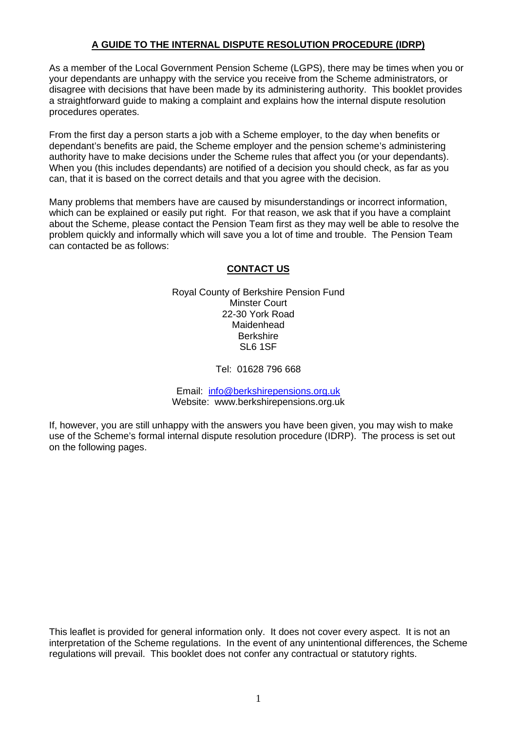## **A GUIDE TO THE INTERNAL DISPUTE RESOLUTION PROCEDURE (IDRP)**

As a member of the Local Government Pension Scheme (LGPS), there may be times when you or your dependants are unhappy with the service you receive from the Scheme administrators, or disagree with decisions that have been made by its administering authority. This booklet provides a straightforward guide to making a complaint and explains how the internal dispute resolution procedures operates.

From the first day a person starts a job with a Scheme employer, to the day when benefits or dependant's benefits are paid, the Scheme employer and the pension scheme's administering authority have to make decisions under the Scheme rules that affect you (or your dependants). When you (this includes dependants) are notified of a decision you should check, as far as you can, that it is based on the correct details and that you agree with the decision.

Many problems that members have are caused by misunderstandings or incorrect information, which can be explained or easily put right. For that reason, we ask that if you have a complaint about the Scheme, please contact the Pension Team first as they may well be able to resolve the problem quickly and informally which will save you a lot of time and trouble. The Pension Team can contacted be as follows:

### **CONTACT US**

Royal County of Berkshire Pension Fund Minster Court 22-30 York Road Maidenhead **Berkshire** SL6 1SF

Tel: 01628 796 668

Email: info@berkshirepensions.org.uk Website: www.berkshirepensions.org.uk

If, however, you are still unhappy with the answers you have been given, you may wish to make use of the Scheme's formal internal dispute resolution procedure (IDRP). The process is set out on the following pages.

This leaflet is provided for general information only. It does not cover every aspect. It is not an interpretation of the Scheme regulations. In the event of any unintentional differences, the Scheme regulations will prevail. This booklet does not confer any contractual or statutory rights.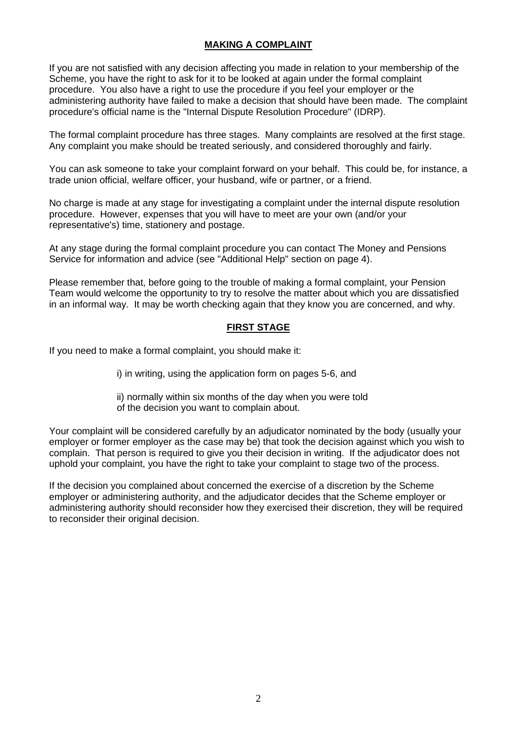# **MAKING A COMPLAINT**

If you are not satisfied with any decision affecting you made in relation to your membership of the Scheme, you have the right to ask for it to be looked at again under the formal complaint procedure. You also have a right to use the procedure if you feel your employer or the administering authority have failed to make a decision that should have been made. The complaint procedure's official name is the "Internal Dispute Resolution Procedure" (IDRP).

The formal complaint procedure has three stages. Many complaints are resolved at the first stage. Any complaint you make should be treated seriously, and considered thoroughly and fairly.

You can ask someone to take your complaint forward on your behalf. This could be, for instance, a trade union official, welfare officer, your husband, wife or partner, or a friend.

No charge is made at any stage for investigating a complaint under the internal dispute resolution procedure. However, expenses that you will have to meet are your own (and/or your representative's) time, stationery and postage.

At any stage during the formal complaint procedure you can contact The Money and Pensions Service for information and advice (see "Additional Help" section on page 4).

Please remember that, before going to the trouble of making a formal complaint, your Pension Team would welcome the opportunity to try to resolve the matter about which you are dissatisfied in an informal way. It may be worth checking again that they know you are concerned, and why.

## **FIRST STAGE**

If you need to make a formal complaint, you should make it:

i) in writing, using the application form on pages 5-6, and

ii) normally within six months of the day when you were told of the decision you want to complain about.

Your complaint will be considered carefully by an adjudicator nominated by the body (usually your employer or former employer as the case may be) that took the decision against which you wish to complain. That person is required to give you their decision in writing. If the adjudicator does not uphold your complaint, you have the right to take your complaint to stage two of the process.

If the decision you complained about concerned the exercise of a discretion by the Scheme employer or administering authority, and the adjudicator decides that the Scheme employer or administering authority should reconsider how they exercised their discretion, they will be required to reconsider their original decision.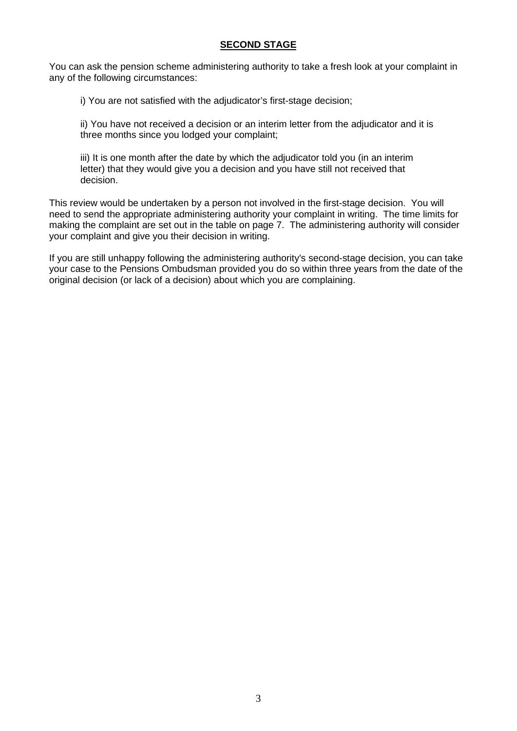# **SECOND STAGE**

You can ask the pension scheme administering authority to take a fresh look at your complaint in any of the following circumstances:

i) You are not satisfied with the adjudicator's first-stage decision;

ii) You have not received a decision or an interim letter from the adjudicator and it is three months since you lodged your complaint;

iii) It is one month after the date by which the adjudicator told you (in an interim letter) that they would give you a decision and you have still not received that decision.

This review would be undertaken by a person not involved in the first-stage decision. You will need to send the appropriate administering authority your complaint in writing. The time limits for making the complaint are set out in the table on page 7. The administering authority will consider your complaint and give you their decision in writing.

If you are still unhappy following the administering authority's second-stage decision, you can take your case to the Pensions Ombudsman provided you do so within three years from the date of the original decision (or lack of a decision) about which you are complaining.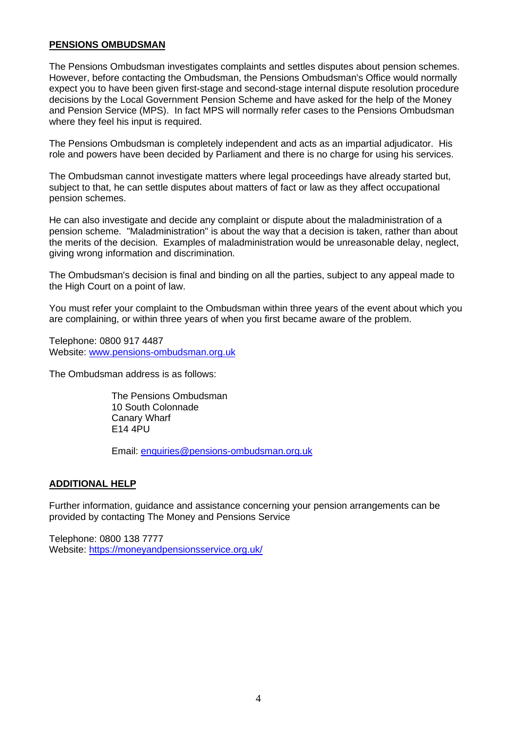### **PENSIONS OMBUDSMAN**

The Pensions Ombudsman investigates complaints and settles disputes about pension schemes. However, before contacting the Ombudsman, the Pensions Ombudsman's Office would normally expect you to have been given first-stage and second-stage internal dispute resolution procedure decisions by the Local Government Pension Scheme and have asked for the help of the Money and Pension Service (MPS). In fact MPS will normally refer cases to the Pensions Ombudsman where they feel his input is required.

The Pensions Ombudsman is completely independent and acts as an impartial adjudicator. His role and powers have been decided by Parliament and there is no charge for using his services.

The Ombudsman cannot investigate matters where legal proceedings have already started but, subject to that, he can settle disputes about matters of fact or law as they affect occupational pension schemes.

He can also investigate and decide any complaint or dispute about the maladministration of a pension scheme. "Maladministration" is about the way that a decision is taken, rather than about the merits of the decision. Examples of maladministration would be unreasonable delay, neglect, giving wrong information and discrimination.

The Ombudsman's decision is final and binding on all the parties, subject to any appeal made to the High Court on a point of law.

You must refer your complaint to the Ombudsman within three years of the event about which you are complaining, or within three years of when you first became aware of the problem.

Telephone: 0800 917 4487 Website: www.pensions-ombudsman.org.uk

The Ombudsman address is as follows:

The Pensions Ombudsman 10 South Colonnade Canary Wharf E14 4PU

Email: enquiries@pensions-ombudsman.org.uk

### **ADDITIONAL HELP**

Further information, guidance and assistance concerning your pension arrangements can be provided by contacting The Money and Pensions Service

Telephone: 0800 138 7777 Website: https://moneyandpensionsservice.org.uk/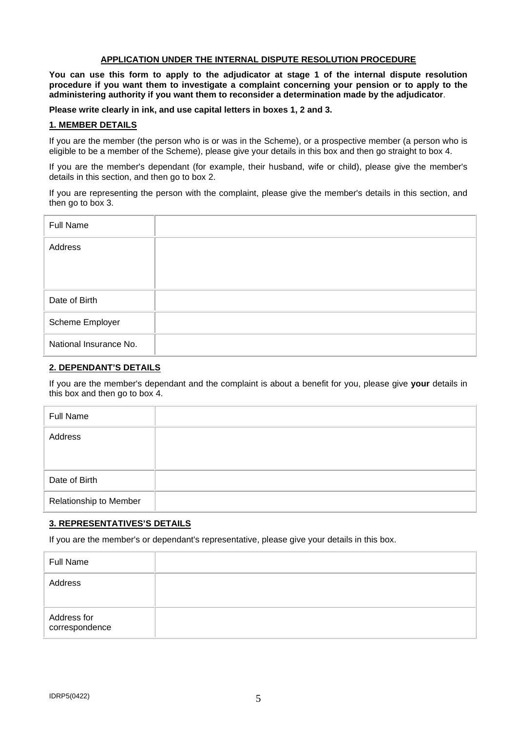### **APPLICATION UNDER THE INTERNAL DISPUTE RESOLUTION PROCEDURE**

**You can use this form to apply to the adjudicator at stage 1 of the internal dispute resolution procedure if you want them to investigate a complaint concerning your pension or to apply to the administering authority if you want them to reconsider a determination made by the adjudicator**.

**Please write clearly in ink, and use capital letters in boxes 1, 2 and 3.** 

#### **1. MEMBER DETAILS**

If you are the member (the person who is or was in the Scheme), or a prospective member (a person who is eligible to be a member of the Scheme), please give your details in this box and then go straight to box 4.

If you are the member's dependant (for example, their husband, wife or child), please give the member's details in this section, and then go to box 2.

If you are representing the person with the complaint, please give the member's details in this section, and then go to box 3.

| <b>Full Name</b>       |  |
|------------------------|--|
| Address                |  |
| Date of Birth          |  |
| Scheme Employer        |  |
| National Insurance No. |  |

### **2. DEPENDANT'S DETAILS**

If you are the member's dependant and the complaint is about a benefit for you, please give **your** details in this box and then go to box 4.

| <b>Full Name</b>       |  |
|------------------------|--|
| Address                |  |
| Date of Birth          |  |
| Relationship to Member |  |

#### **3. REPRESENTATIVES'S DETAILS**

If you are the member's or dependant's representative, please give your details in this box.

| <b>Full Name</b>              |  |
|-------------------------------|--|
| Address                       |  |
| Address for<br>correspondence |  |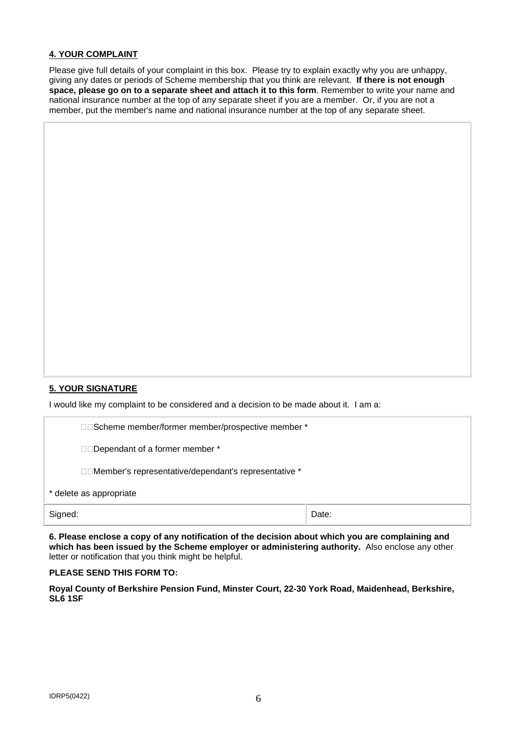### **4. YOUR COMPLAINT**

Please give full details of your complaint in this box. Please try to explain exactly why you are unhappy, giving any dates or periods of Scheme membership that you think are relevant. **If there is not enough space, please go on to a separate sheet and attach it to this form**. Remember to write your name and national insurance number at the top of any separate sheet if you are a member. Or, if you are not a member, put the member's name and national insurance number at the top of any separate sheet.

### **5. YOUR SIGNATURE**

I would like my complaint to be considered and a decision to be made about it. I am a:

| Signed:                 |                                                        | Date: |  |  |  |
|-------------------------|--------------------------------------------------------|-------|--|--|--|
| * delete as appropriate |                                                        |       |  |  |  |
|                         | □□Member's representative/dependant's representative * |       |  |  |  |
|                         | □□Dependant of a former member *                       |       |  |  |  |
|                         | □□Scheme member/former member/prospective member *     |       |  |  |  |

**6. Please enclose a copy of any notification of the decision about which you are complaining and which has been issued by the Scheme employer or administering authority.** Also enclose any other letter or notification that you think might be helpful.

#### **PLEASE SEND THIS FORM TO:**

**Royal County of Berkshire Pension Fund, Minster Court, 22-30 York Road, Maidenhead, Berkshire, SL6 1SF**